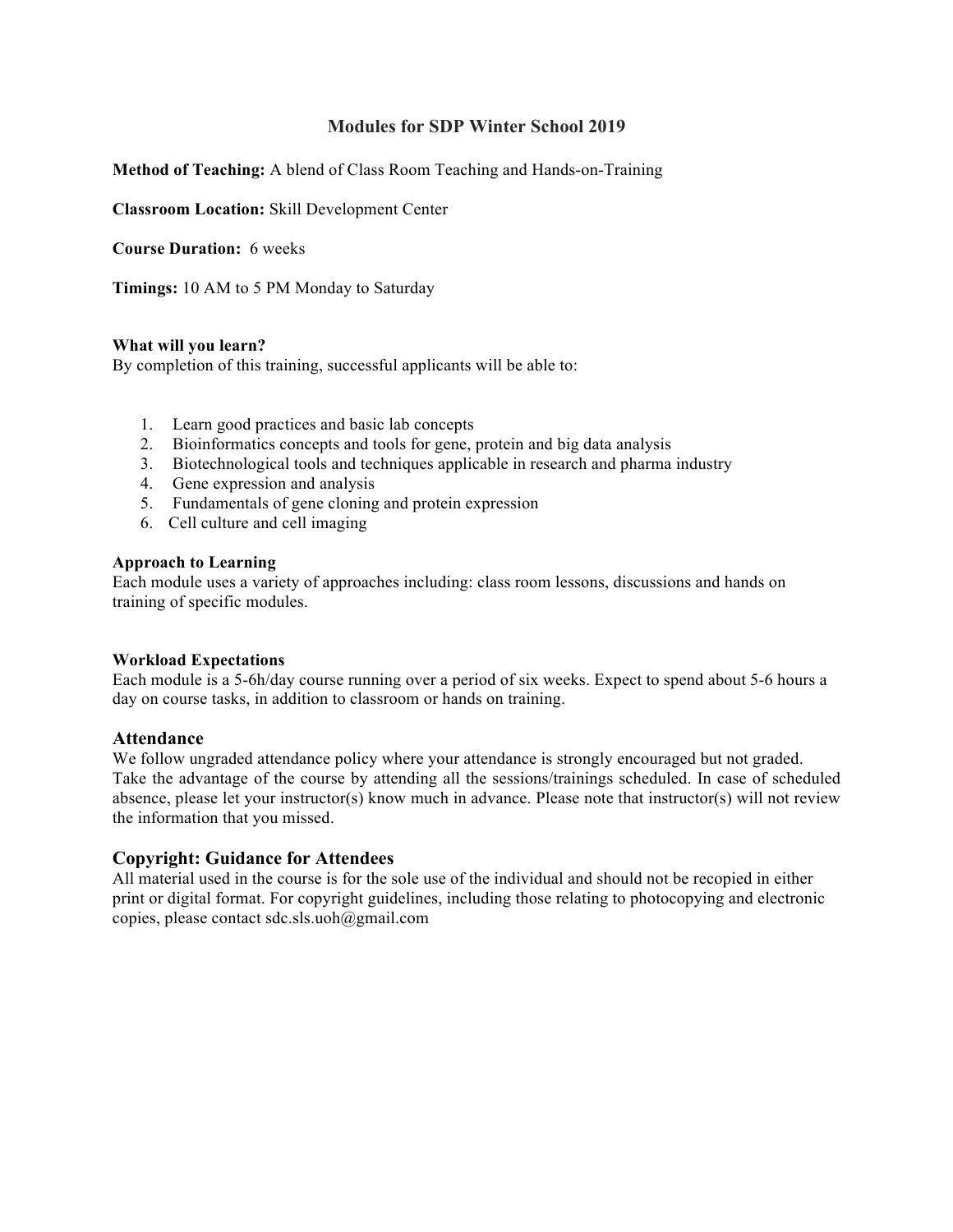### **Modules for SDP Winter School 2019**

**Method of Teaching:** A blend of Class Room Teaching and Hands-on-Training

**Classroom Location:** Skill Development Center

**Course Duration:** 6 weeks

**Timings:** 10 AM to 5 PM Monday to Saturday

### **What will you learn?**

By completion of this training, successful applicants will be able to:

- 1. Learn good practices and basic lab concepts
- 2. Bioinformatics concepts and tools for gene, protein and big data analysis
- 3. Biotechnological tools and techniques applicable in research and pharma industry
- 4. Gene expression and analysis
- 5. Fundamentals of gene cloning and protein expression
- 6. Cell culture and cell imaging

### **Approach to Learning**

Each module uses a variety of approaches including: class room lessons, discussions and hands on training of specific modules.

### **Workload Expectations**

Each module is a 5-6h/day course running over a period of six weeks. Expect to spend about 5-6 hours a day on course tasks, in addition to classroom or hands on training.

### **Attendance**

We follow ungraded attendance policy where your attendance is strongly encouraged but not graded. Take the advantage of the course by attending all the sessions/trainings scheduled. In case of scheduled absence, please let your instructor(s) know much in advance. Please note that instructor(s) will not review the information that you missed.

### **Copyright: Guidance for Attendees**

All material used in the course is for the sole use of the individual and should not be recopied in either print or digital format. For copyright guidelines, including those relating to photocopying and electronic copies, please contact sdc.sls.uoh@gmail.com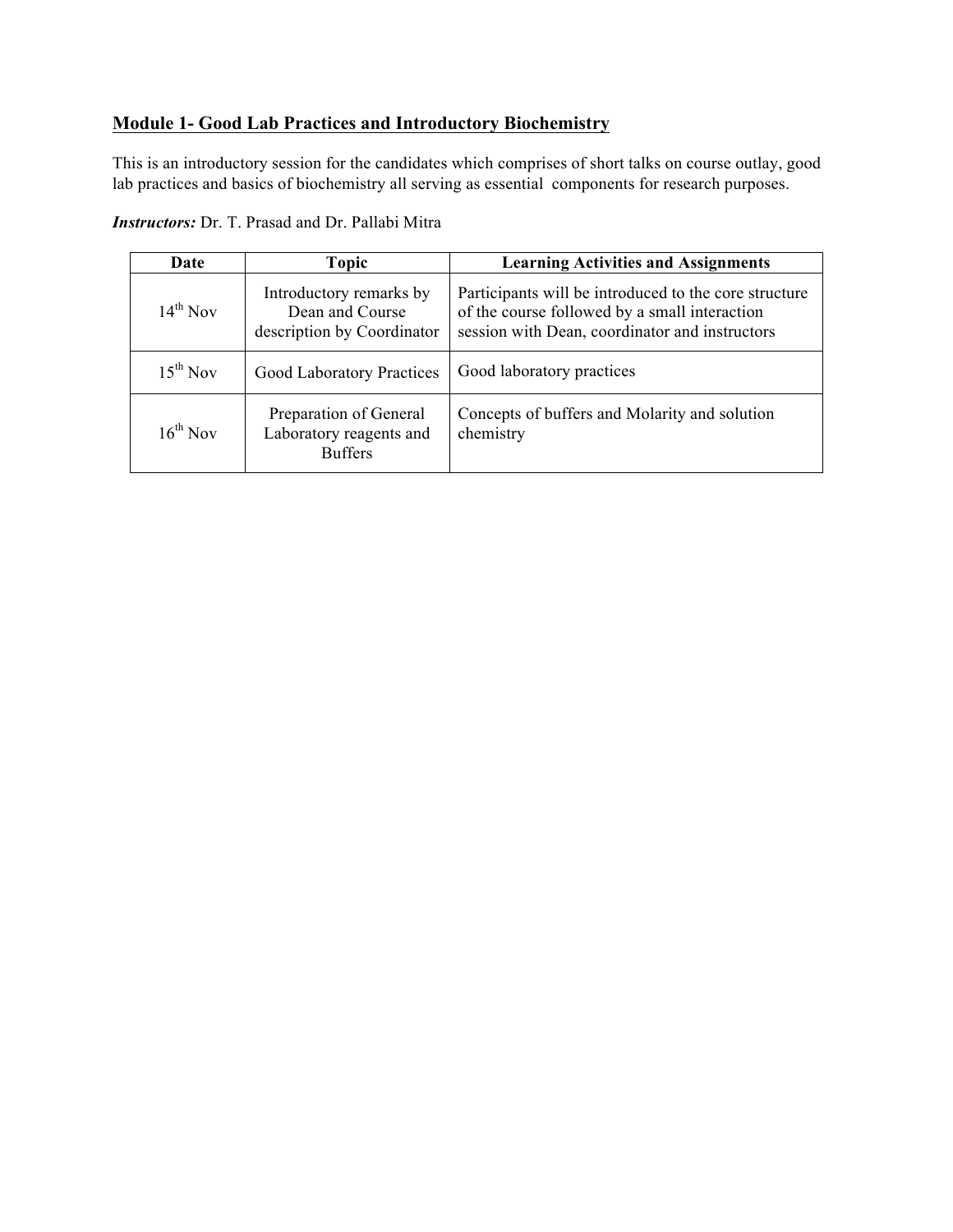## **Module 1- Good Lab Practices and Introductory Biochemistry**

This is an introductory session for the candidates which comprises of short talks on course outlay, good lab practices and basics of biochemistry all serving as essential components for research purposes.

| Date          | Topic                                                                    | <b>Learning Activities and Assignments</b>                                                                                                               |
|---------------|--------------------------------------------------------------------------|----------------------------------------------------------------------------------------------------------------------------------------------------------|
| $14^{th}$ Nov | Introductory remarks by<br>Dean and Course<br>description by Coordinator | Participants will be introduced to the core structure<br>of the course followed by a small interaction<br>session with Dean, coordinator and instructors |
| $15^{th}$ Nov | Good Laboratory Practices                                                | Good laboratory practices                                                                                                                                |
| $16^{th}$ Nov | Preparation of General<br>Laboratory reagents and<br><b>Buffers</b>      | Concepts of buffers and Molarity and solution<br>chemistry                                                                                               |

*Instructors:* Dr. T. Prasad and Dr. Pallabi Mitra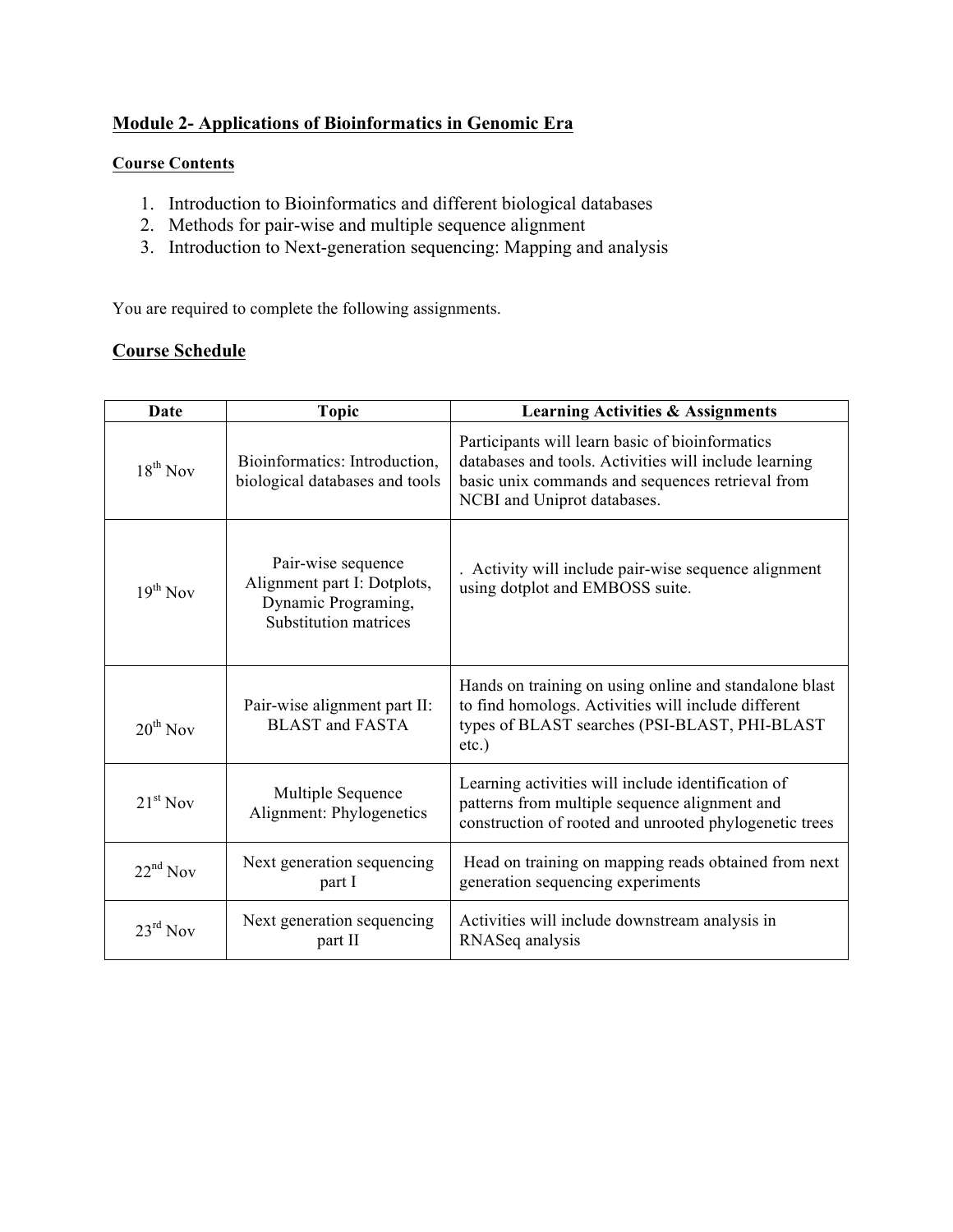## **Module 2- Applications of Bioinformatics in Genomic Era**

### **Course Contents**

- 1. Introduction to Bioinformatics and different biological databases
- 2. Methods for pair-wise and multiple sequence alignment
- 3. Introduction to Next-generation sequencing: Mapping and analysis

You are required to complete the following assignments.

### **Course Schedule**

| <b>Date</b>          | <b>Topic</b>                                                                                      | <b>Learning Activities &amp; Assignments</b>                                                                                                                                                |
|----------------------|---------------------------------------------------------------------------------------------------|---------------------------------------------------------------------------------------------------------------------------------------------------------------------------------------------|
| $18^{th}$ Nov        | Bioinformatics: Introduction,<br>biological databases and tools                                   | Participants will learn basic of bioinformatics<br>databases and tools. Activities will include learning<br>basic unix commands and sequences retrieval from<br>NCBI and Uniprot databases. |
| $19^{th}$ Nov        | Pair-wise sequence<br>Alignment part I: Dotplots,<br>Dynamic Programing,<br>Substitution matrices | . Activity will include pair-wise sequence alignment<br>using dotplot and EMBOSS suite.                                                                                                     |
| $20^{th}$ Nov        | Pair-wise alignment part II:<br><b>BLAST</b> and FASTA                                            | Hands on training on using online and standalone blast<br>to find homologs. Activities will include different<br>types of BLAST searches (PSI-BLAST, PHI-BLAST<br>$etc.$ )                  |
| $21st$ Nov           | Multiple Sequence<br>Alignment: Phylogenetics                                                     | Learning activities will include identification of<br>patterns from multiple sequence alignment and<br>construction of rooted and unrooted phylogenetic trees                               |
| $22nd$ Nov           | Next generation sequencing<br>part I                                                              | Head on training on mapping reads obtained from next<br>generation sequencing experiments                                                                                                   |
| $23^{\text{rd}}$ Nov | Next generation sequencing<br>part II                                                             | Activities will include downstream analysis in<br>RNASeq analysis                                                                                                                           |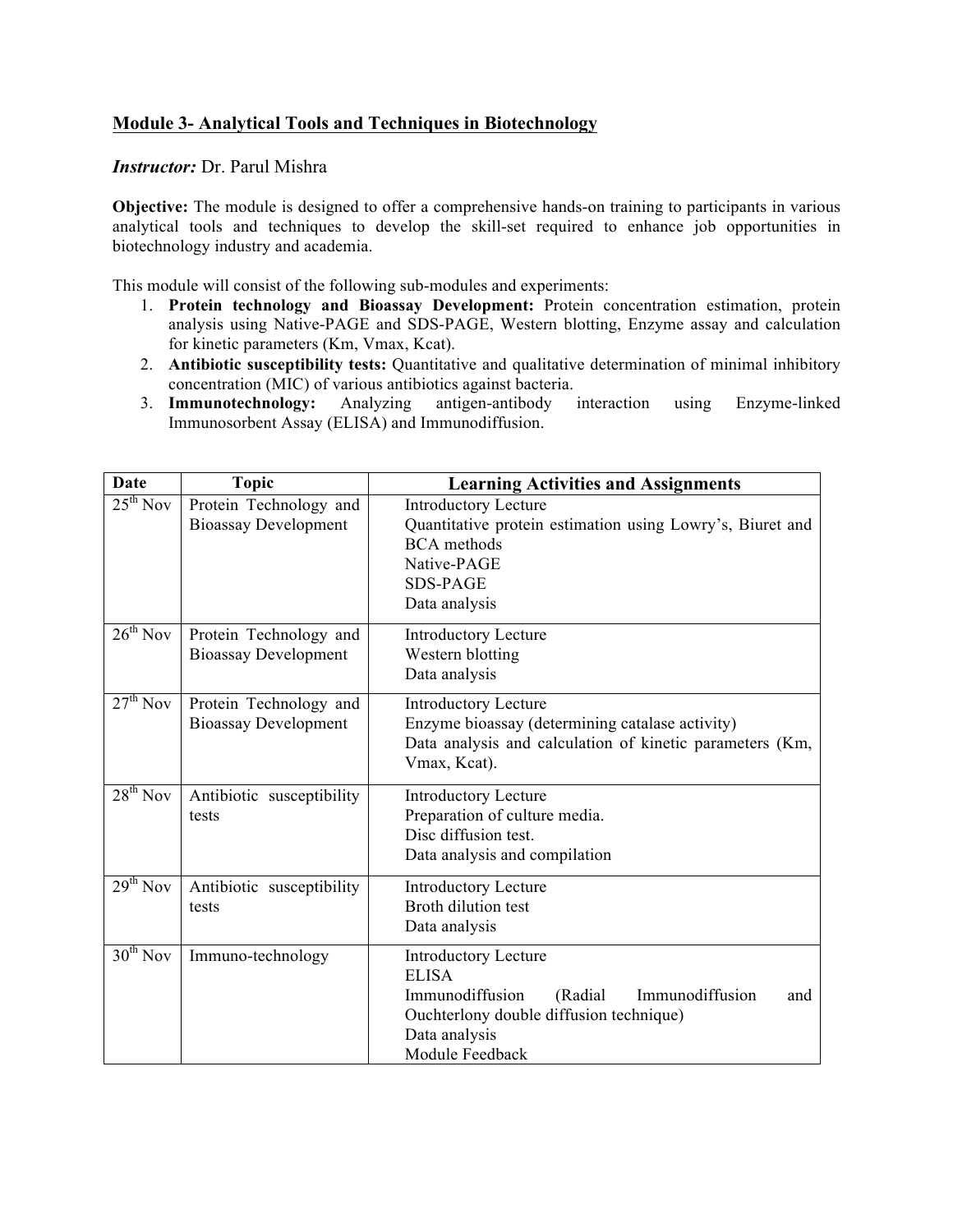### **Module 3- Analytical Tools and Techniques in Biotechnology**

### *Instructor:* Dr. Parul Mishra

**Objective:** The module is designed to offer a comprehensive hands-on training to participants in various analytical tools and techniques to develop the skill-set required to enhance job opportunities in biotechnology industry and academia.

This module will consist of the following sub-modules and experiments:

- 1. **Protein technology and Bioassay Development:** Protein concentration estimation, protein analysis using Native-PAGE and SDS-PAGE, Western blotting, Enzyme assay and calculation for kinetic parameters (Km, Vmax, Kcat).
- 2. **Antibiotic susceptibility tests:** Quantitative and qualitative determination of minimal inhibitory concentration (MIC) of various antibiotics against bacteria.
- 3. **Immunotechnology:** Analyzing antigen-antibody interaction using Enzyme-linked Immunosorbent Assay (ELISA) and Immunodiffusion.

| <b>Date</b>   | <b>Topic</b>                                          | <b>Learning Activities and Assignments</b>                                                                                                                                         |
|---------------|-------------------------------------------------------|------------------------------------------------------------------------------------------------------------------------------------------------------------------------------------|
| $25^{th}$ Nov | Protein Technology and<br><b>Bioassay Development</b> | <b>Introductory Lecture</b><br>Quantitative protein estimation using Lowry's, Biuret and<br><b>BCA</b> methods<br>Native-PAGE<br><b>SDS-PAGE</b><br>Data analysis                  |
| $26^{th}$ Nov | Protein Technology and<br><b>Bioassay Development</b> | <b>Introductory Lecture</b><br>Western blotting<br>Data analysis                                                                                                                   |
| $27th$ Nov    | Protein Technology and<br><b>Bioassay Development</b> | <b>Introductory Lecture</b><br>Enzyme bioassay (determining catalase activity)<br>Data analysis and calculation of kinetic parameters (Km,<br>Vmax, Kcat).                         |
| $28^{th}$ Nov | Antibiotic susceptibility<br>tests                    | <b>Introductory Lecture</b><br>Preparation of culture media.<br>Disc diffusion test.<br>Data analysis and compilation                                                              |
| $29^{th}$ Nov | Antibiotic susceptibility<br>tests                    | <b>Introductory Lecture</b><br><b>Broth dilution test</b><br>Data analysis                                                                                                         |
| $30^{th}$ Nov | Immuno-technology                                     | <b>Introductory Lecture</b><br><b>ELISA</b><br>Immunodiffusion<br>Immunodiffusion<br>(Radial<br>and<br>Ouchterlony double diffusion technique)<br>Data analysis<br>Module Feedback |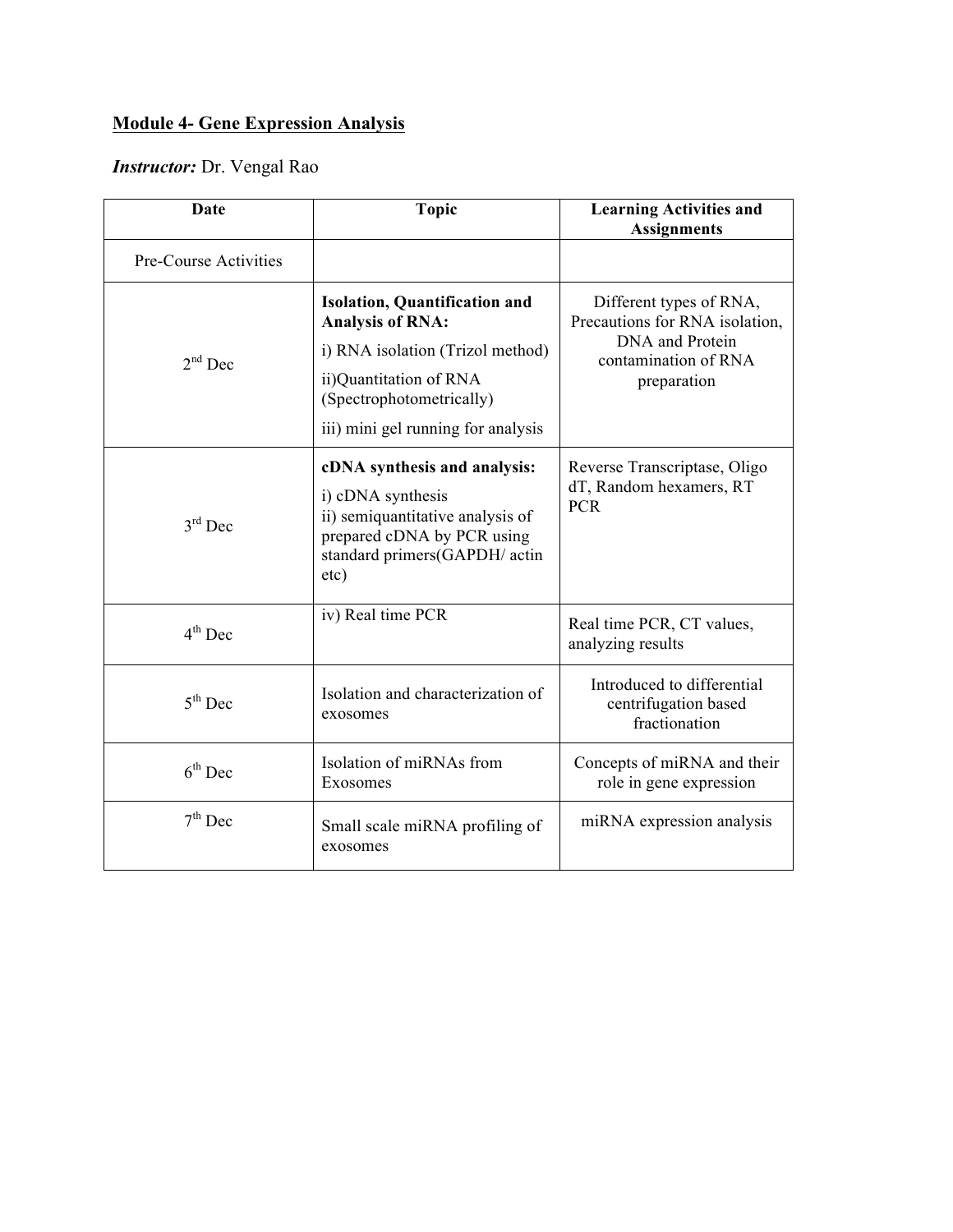# **Module 4- Gene Expression Analysis**

# *Instructor:* Dr. Vengal Rao

| Date                  | <b>Topic</b>                                                                                                                                                                                    | <b>Learning Activities and</b><br><b>Assignments</b>                                                                |
|-----------------------|-------------------------------------------------------------------------------------------------------------------------------------------------------------------------------------------------|---------------------------------------------------------------------------------------------------------------------|
| Pre-Course Activities |                                                                                                                                                                                                 |                                                                                                                     |
| $2nd$ Dec             | <b>Isolation, Quantification and</b><br><b>Analysis of RNA:</b><br>i) RNA isolation (Trizol method)<br>ii)Quantitation of RNA<br>(Spectrophotometrically)<br>iii) mini gel running for analysis | Different types of RNA,<br>Precautions for RNA isolation,<br>DNA and Protein<br>contamination of RNA<br>preparation |
| $3^{\text{rd}}$ Dec   | cDNA synthesis and analysis:<br>i) cDNA synthesis<br>ii) semiquantitative analysis of<br>prepared cDNA by PCR using<br>standard primers(GAPDH/ actin<br>etc)                                    | Reverse Transcriptase, Oligo<br>dT, Random hexamers, RT<br><b>PCR</b>                                               |
| $4^{th}$ Dec          | iv) Real time PCR                                                                                                                                                                               | Real time PCR, CT values,<br>analyzing results                                                                      |
| $5^{th}$ Dec          | Isolation and characterization of<br>exosomes                                                                                                                                                   | Introduced to differential<br>centrifugation based<br>fractionation                                                 |
| $6th$ Dec             | Isolation of miRNAs from<br>Exosomes                                                                                                                                                            | Concepts of miRNA and their<br>role in gene expression                                                              |
| $7th$ Dec             | Small scale miRNA profiling of<br>exosomes                                                                                                                                                      | miRNA expression analysis                                                                                           |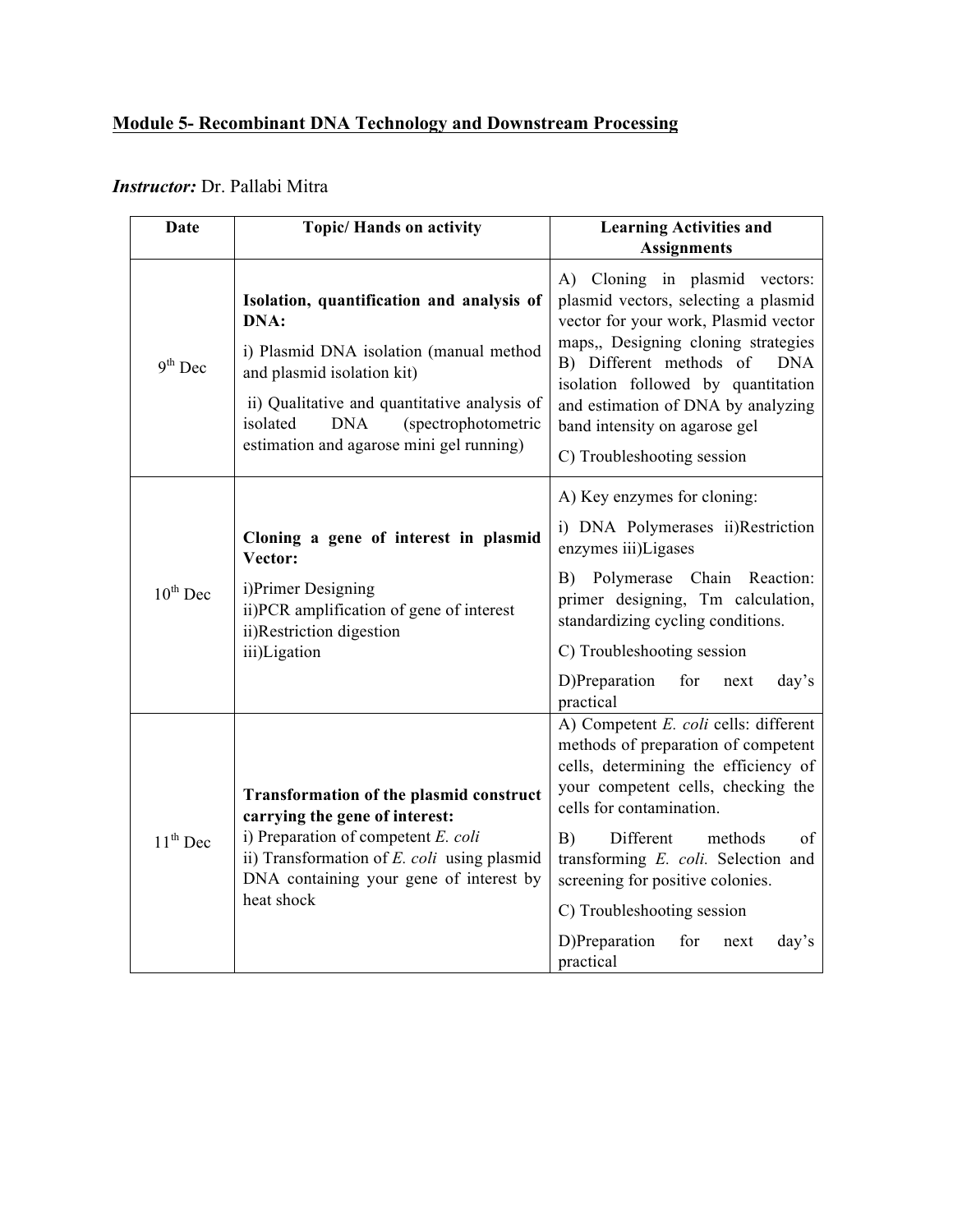# **Module 5- Recombinant DNA Technology and Downstream Processing**

## *Instructor:* Dr. Pallabi Mitra

| <b>Date</b>         | <b>Topic/Hands on activity</b>                                                                                                                                                                                                                                          | <b>Learning Activities and</b><br><b>Assignments</b>                                                                                                                                                                                                                                                                                                                                      |
|---------------------|-------------------------------------------------------------------------------------------------------------------------------------------------------------------------------------------------------------------------------------------------------------------------|-------------------------------------------------------------------------------------------------------------------------------------------------------------------------------------------------------------------------------------------------------------------------------------------------------------------------------------------------------------------------------------------|
| $9^{\text{th}}$ Dec | Isolation, quantification and analysis of<br>DNA:<br>i) Plasmid DNA isolation (manual method<br>and plasmid isolation kit)<br>ii) Qualitative and quantitative analysis of<br><b>DNA</b><br>isolated<br>(spectrophotometric<br>estimation and agarose mini gel running) | A) Cloning in plasmid vectors:<br>plasmid vectors, selecting a plasmid<br>vector for your work, Plasmid vector<br>maps,, Designing cloning strategies<br>B) Different methods of<br><b>DNA</b><br>isolation followed by quantitation<br>and estimation of DNA by analyzing<br>band intensity on agarose gel<br>C) Troubleshooting session                                                 |
| $10^{th}$ Dec       | Cloning a gene of interest in plasmid<br>Vector:<br>i)Primer Designing<br>ii)PCR amplification of gene of interest<br>ii)Restriction digestion<br>iii)Ligation                                                                                                          | A) Key enzymes for cloning:<br>i) DNA Polymerases ii)Restriction<br>enzymes iii)Ligases<br>Polymerase Chain Reaction:<br>B)<br>primer designing, Tm calculation,<br>standardizing cycling conditions.<br>C) Troubleshooting session<br>D)Preparation for<br>day's<br>next<br>practical                                                                                                    |
| $11th$ Dec          | <b>Transformation of the plasmid construct</b><br>carrying the gene of interest:<br>i) Preparation of competent $E.$ coli<br>ii) Transformation of E. coli using plasmid<br>DNA containing your gene of interest by<br>heat shock                                       | A) Competent E. coli cells: different<br>methods of preparation of competent<br>cells, determining the efficiency of<br>your competent cells, checking the<br>cells for contamination.<br>B)<br>Different<br>methods<br>of<br>transforming E. coli. Selection and<br>screening for positive colonies.<br>C) Troubleshooting session<br>D)Preparation<br>for<br>day's<br>next<br>practical |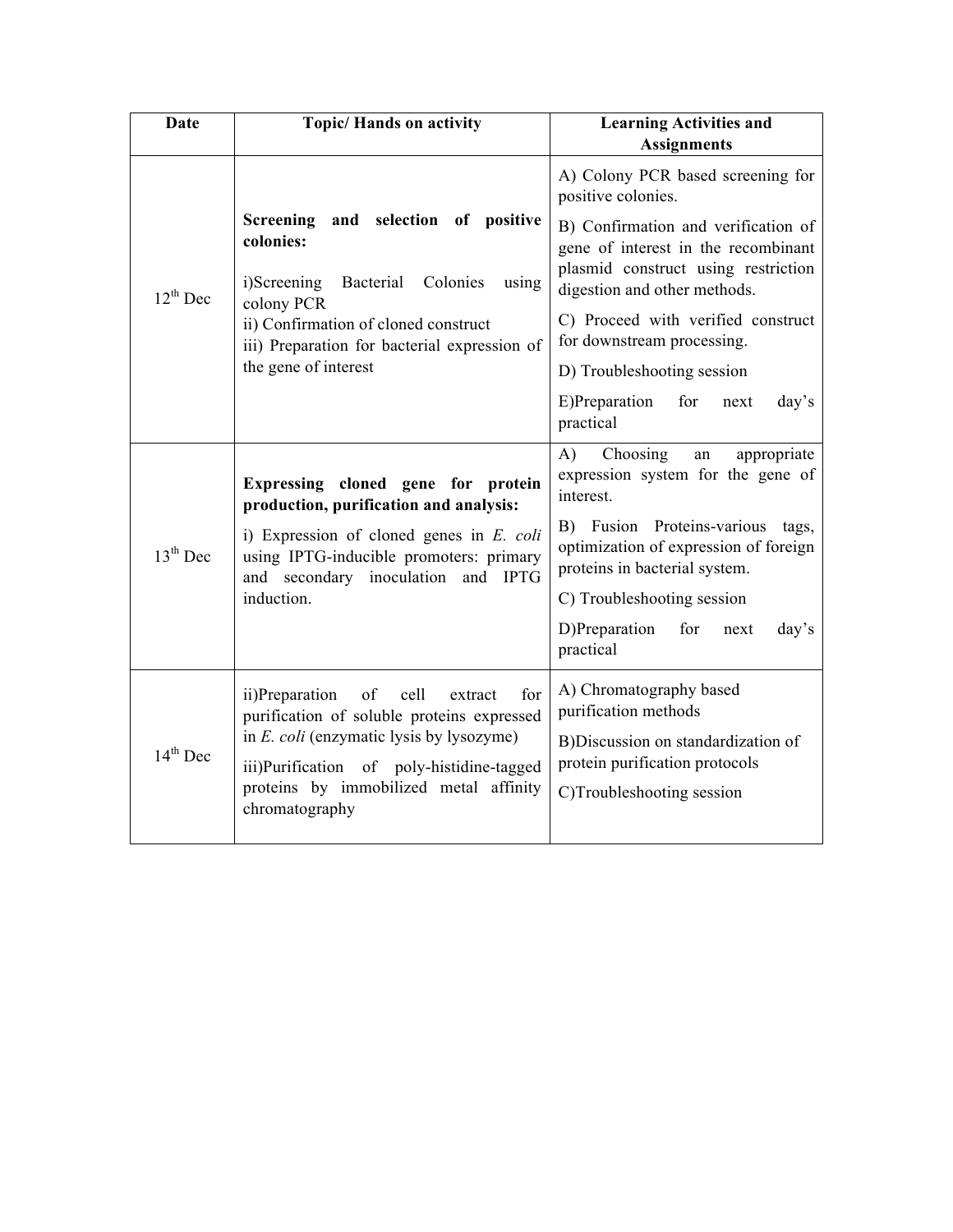| <b>Date</b>          | <b>Topic/Hands on activity</b>                                                                                                                                                                             | <b>Learning Activities and</b><br><b>Assignments</b>                                                                                              |
|----------------------|------------------------------------------------------------------------------------------------------------------------------------------------------------------------------------------------------------|---------------------------------------------------------------------------------------------------------------------------------------------------|
| $12^{th}$ Dec        | and selection of positive<br>Screening<br>colonies:<br>i)Screening<br>Bacterial<br>Colonies<br>using<br>colony PCR<br>ii) Confirmation of cloned construct<br>iii) Preparation for bacterial expression of | A) Colony PCR based screening for<br>positive colonies.                                                                                           |
|                      |                                                                                                                                                                                                            | B) Confirmation and verification of<br>gene of interest in the recombinant<br>plasmid construct using restriction<br>digestion and other methods. |
|                      |                                                                                                                                                                                                            | C) Proceed with verified construct<br>for downstream processing.                                                                                  |
|                      | the gene of interest                                                                                                                                                                                       | D) Troubleshooting session                                                                                                                        |
|                      |                                                                                                                                                                                                            | E)Preparation for<br>day's<br>next<br>practical                                                                                                   |
| $13^{th}$ Dec        | Expressing cloned gene for protein<br>production, purification and analysis:                                                                                                                               | Choosing<br>$\mathbf{A}$<br>appropriate<br>an<br>expression system for the gene of<br>interest.                                                   |
|                      | i) Expression of cloned genes in $E$ . <i>coli</i><br>using IPTG-inducible promoters: primary<br>and secondary inoculation and IPTG                                                                        | B) Fusion Proteins-various<br>tags,<br>optimization of expression of foreign<br>proteins in bacterial system.                                     |
|                      | induction.                                                                                                                                                                                                 | C) Troubleshooting session                                                                                                                        |
|                      |                                                                                                                                                                                                            | D)Preparation<br>for<br>day's<br>next<br>practical                                                                                                |
| $14^{\text{th}}$ Dec | ii)Preparation<br>of<br>cell<br>extract<br>for<br>purification of soluble proteins expressed                                                                                                               | A) Chromatography based<br>purification methods                                                                                                   |
|                      | in E. coli (enzymatic lysis by lysozyme)<br>iii)Purification of poly-histidine-tagged                                                                                                                      | B) Discussion on standardization of<br>protein purification protocols                                                                             |
|                      | proteins by immobilized metal affinity<br>chromatography                                                                                                                                                   | C)Troubleshooting session                                                                                                                         |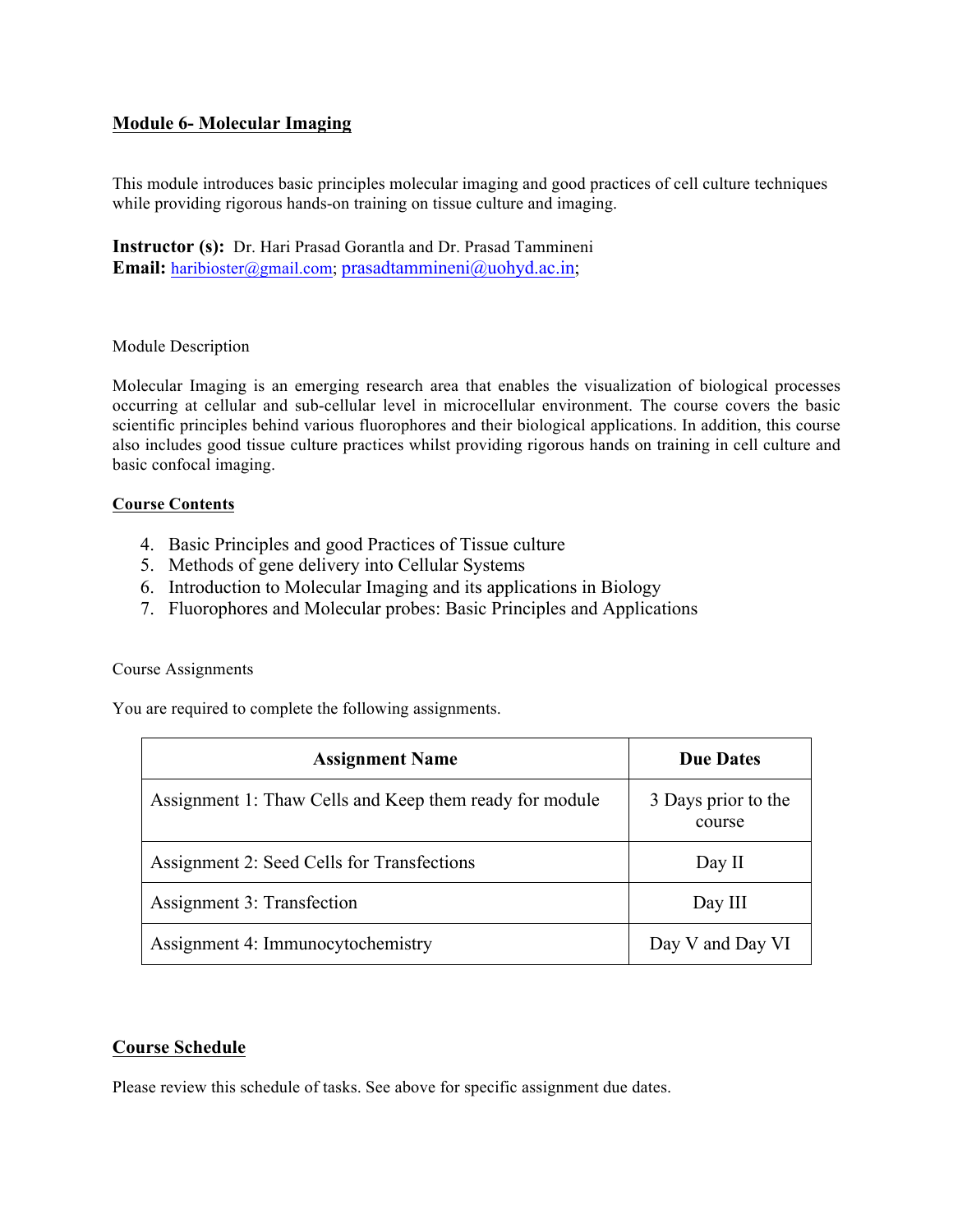### **Module 6- Molecular Imaging**

This module introduces basic principles molecular imaging and good practices of cell culture techniques while providing rigorous hands-on training on tissue culture and imaging.

**Instructor (s):** Dr. Hari Prasad Gorantla and Dr. Prasad Tammineni Email: haribioster@gmail.com; prasadtammineni@uohyd.ac.in;

### Module Description

Molecular Imaging is an emerging research area that enables the visualization of biological processes occurring at cellular and sub-cellular level in microcellular environment. The course covers the basic scientific principles behind various fluorophores and their biological applications. In addition, this course also includes good tissue culture practices whilst providing rigorous hands on training in cell culture and basic confocal imaging.

### **Course Contents**

- 4. Basic Principles and good Practices of Tissue culture
- 5. Methods of gene delivery into Cellular Systems
- 6. Introduction to Molecular Imaging and its applications in Biology
- 7. Fluorophores and Molecular probes: Basic Principles and Applications

### Course Assignments

You are required to complete the following assignments.

| <b>Assignment Name</b>                                  | <b>Due Dates</b>              |
|---------------------------------------------------------|-------------------------------|
| Assignment 1: Thaw Cells and Keep them ready for module | 3 Days prior to the<br>course |
| Assignment 2: Seed Cells for Transfections              | Day II                        |
| Assignment 3: Transfection                              | Day III                       |
| Assignment 4: Immunocytochemistry                       | Day V and Day VI              |

### **Course Schedule**

Please review this schedule of tasks. See above for specific assignment due dates.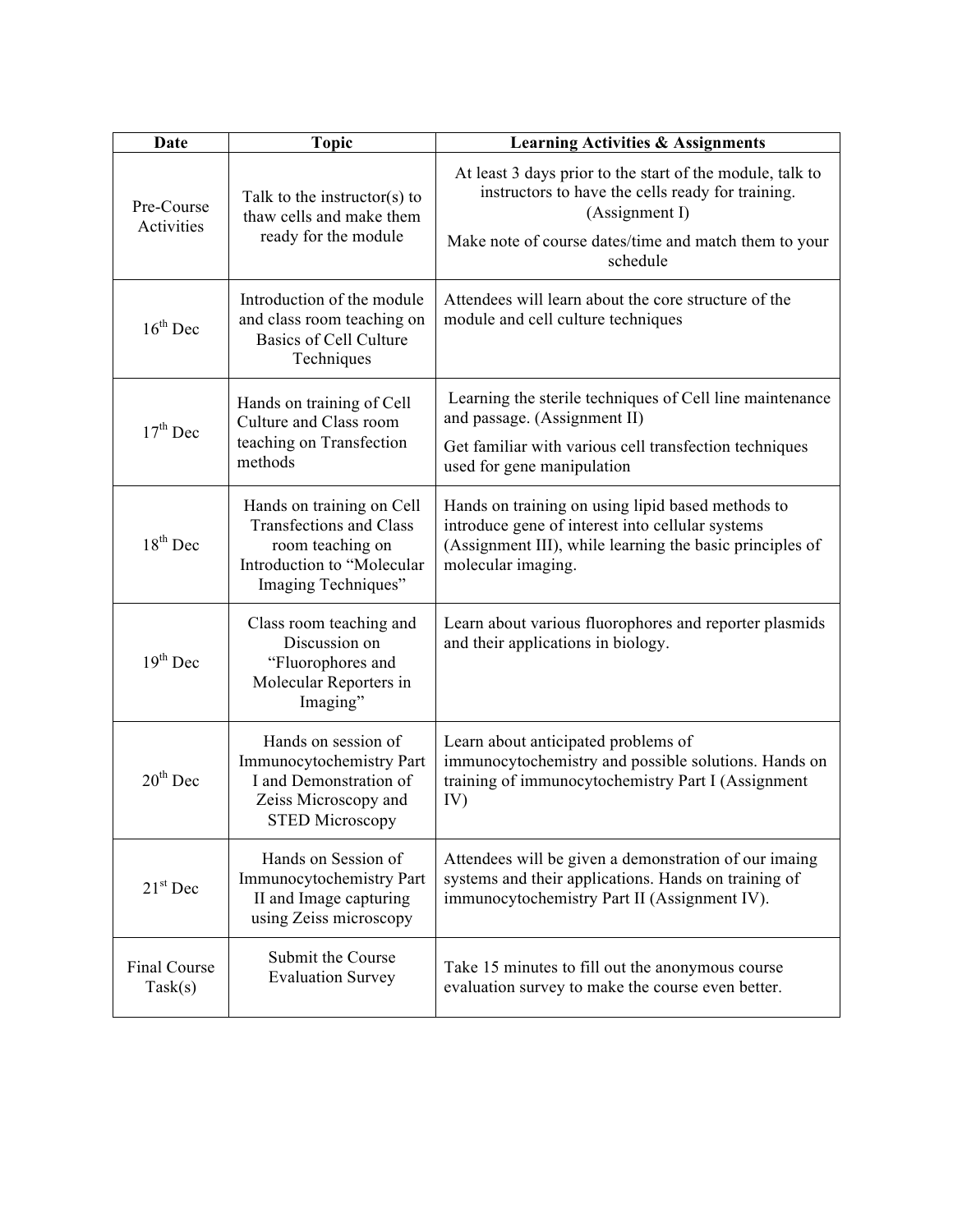| Date                     | <b>Topic</b>                                                                                                                         | <b>Learning Activities &amp; Assignments</b>                                                                                                                                            |
|--------------------------|--------------------------------------------------------------------------------------------------------------------------------------|-----------------------------------------------------------------------------------------------------------------------------------------------------------------------------------------|
| Pre-Course<br>Activities | Talk to the instructor(s) to<br>thaw cells and make them                                                                             | At least 3 days prior to the start of the module, talk to<br>instructors to have the cells ready for training.<br>(Assignment I)                                                        |
|                          | ready for the module                                                                                                                 | Make note of course dates/time and match them to your<br>schedule                                                                                                                       |
| $16^{th}$ Dec            | Introduction of the module<br>and class room teaching on<br><b>Basics of Cell Culture</b><br>Techniques                              | Attendees will learn about the core structure of the<br>module and cell culture techniques                                                                                              |
| $17th$ Dec               | Hands on training of Cell<br>Culture and Class room<br>teaching on Transfection<br>methods                                           | Learning the sterile techniques of Cell line maintenance<br>and passage. (Assignment II)                                                                                                |
|                          |                                                                                                                                      | Get familiar with various cell transfection techniques<br>used for gene manipulation                                                                                                    |
| $18th$ Dec               | Hands on training on Cell<br><b>Transfections and Class</b><br>room teaching on<br>Introduction to "Molecular<br>Imaging Techniques" | Hands on training on using lipid based methods to<br>introduce gene of interest into cellular systems<br>(Assignment III), while learning the basic principles of<br>molecular imaging. |
| $19^{th}$ Dec            | Class room teaching and<br>Discussion on<br>"Fluorophores and<br>Molecular Reporters in<br>Imaging"                                  | Learn about various fluorophores and reporter plasmids<br>and their applications in biology.                                                                                            |
| $20th$ Dec               | Hands on session of<br>Immunocytochemistry Part<br>I and Demonstration of<br>Zeiss Microscopy and<br>STED Microscopy                 | Learn about anticipated problems of<br>immunocytochemistry and possible solutions. Hands on<br>training of immunocytochemistry Part I (Assignment<br>IV)                                |
| $21st$ Dec               | Hands on Session of<br>Immunocytochemistry Part<br>II and Image capturing<br>using Zeiss microscopy                                  | Attendees will be given a demonstration of our imaing<br>systems and their applications. Hands on training of<br>immunocytochemistry Part II (Assignment IV).                           |
| Final Course<br>Task(s)  | Submit the Course<br><b>Evaluation Survey</b>                                                                                        | Take 15 minutes to fill out the anonymous course<br>evaluation survey to make the course even better.                                                                                   |